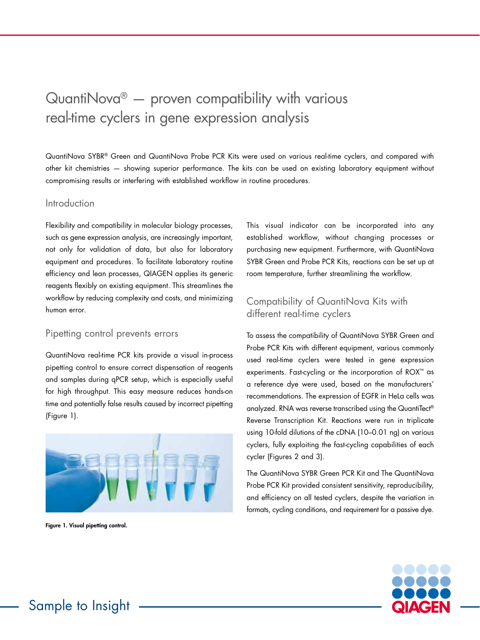# $QuantiNova<sup>®</sup>$  — proven compatibility with various real-time cyclers in gene expression analysis

QuantiNova SYBR® Green and QuantiNova Probe PCR Kits were used on various real-time cyclers, and compared with other kit chemistries — showing superior performance. The kits can be used on existing laboratory equipment without compromising results or interfering with established workflow in routine procedures.

#### Introduction

Flexibility and compatibility in molecular biology processes, such as gene expression analysis, are increasingly important, not only for validation of data, but also for laboratory equipment and procedures. To facilitate laboratory routine efficiency and lean processes, QIAGEN applies its generic reagents flexibly on existing equipment. This streamlines the workflow by reducing complexity and costs, and minimizing human error.

#### Pipetting control prevents errors

QuantiNova real-time PCR kits provide a visual in-process pipetting control to ensure correct dispensation of reagents and samples during qPCR setup, which is especially useful for high throughput. This easy measure reduces hands-on time and potentially false results caused by incorrect pipetting (Figure 1).



Figure 1. Visual pipetting control.

This visual indicator can be incorporated into any established workflow, without changing processes or purchasing new equipment. Furthermore, with QuantiNova SYBR Green and Probe PCR Kits, reactions can be set up at room temperature, further streamlining the workflow.

# Compatibility of QuantiNova Kits with different real-time cyclers

To assess the compatibility of QuantiNova SYBR Green and Probe PCR Kits with different equipment, various commonly used real-time cyclers were tested in gene expression experiments. Fast-cycling or the incorporation of ROX™ as a reference dye were used, based on the manufacturers' recommendations. The expression of EGFR in HeLa cells was analyzed. RNA was reverse transcribed using the QuantiTect® Reverse Transcription Kit. Reactions were run in triplicate using 10-fold dilutions of the cDNA (10–0.01 ng) on various cyclers, fully exploiting the fast-cycling capabilities of each cycler (Figures 2 and 3).

The QuantiNova SYBR Green PCR Kit and The QuantiNova Probe PCR Kit provided consistent sensitivity, reproducibility, and efficiency on all tested cyclers, despite the variation in formats, cycling conditions, and requirement for a passive dye.

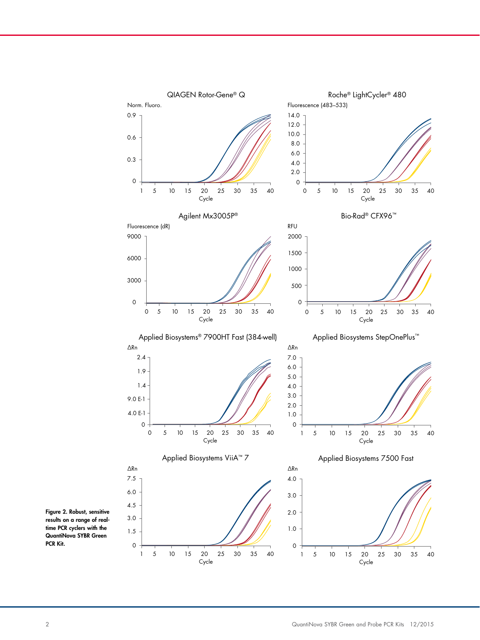

Figure 2. Robust, sensitive results on a range of realtime PCR cyclers with the QuantiNova SYBR Green PCR Kit.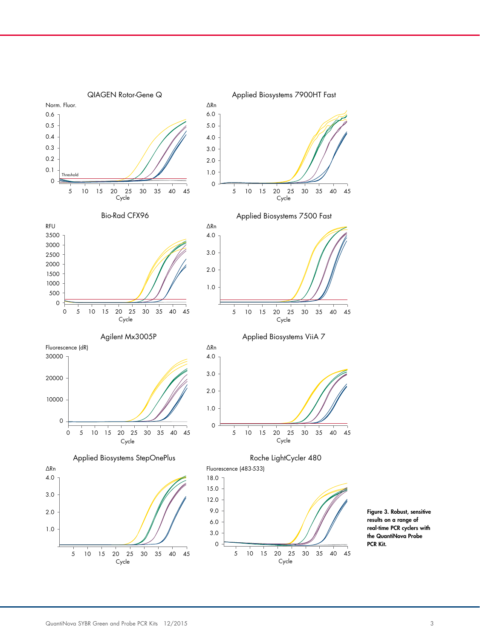

Figure 3. Robust, sensitive results on a range of real-time PCR cyclers with the QuantiNova Probe PCR Kit.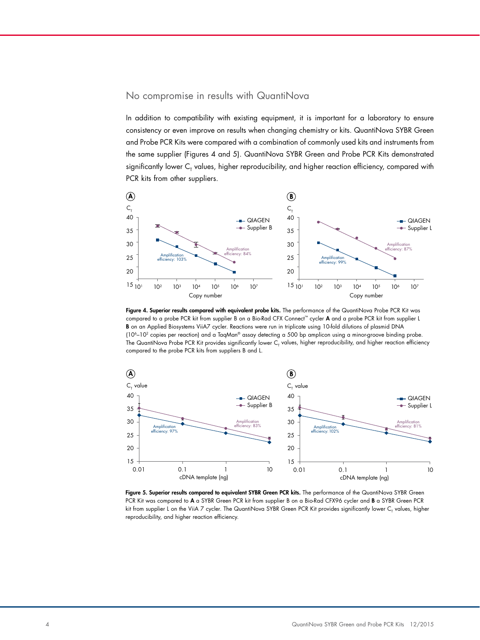#### No compromise in results with QuantiNova 40  $\overline{\mathbf{C}}$

In addition to compatibility with existing equipment, it is important for a laboratory to ensure consistency or even improve on results when changing chemistry or kits. QuantiNova SYBR Green and Probe PCR Kits were compared with a combination of commonly used kits and instruments from the same supplier (Figures 4 and 5). QuantiNova SYBR Green and Probe PCR Kits demonstrated 20 significantly lower  ${\sf C}_{_{\sf T}}$  values, higher reproducibility, and higher reaction efficiency, compared with PCR kits from other suppliers.



B on an Applied Biosystems ViiA7 cycler. Reactions were run in triplicate using 10-fold dilutions of plasmid DNA (10<sup>6</sup>–10<sup>2</sup> copies per reaction) and a TaqMan® assay detecting a 500 bp amplicon using a minor-groove binding probe. 35 compared to the probe PCR kits from suppliers B and L. The QuantiNova Probe PCR Kit provides significantly lower  ${\sf C}_\tau$  values, higher reproducibility, and higher reaction efficiency **Figure 4. Superior results compared with equivalent probe kits.** The performance of the QuantiNova Probe PCR Kit was compared to a probe PCR kit from supplier B on a Bio-Rad CFX Connect™ cycler A and a probe PCR kit from supplier L 25



Figure 5. Superior results compared to equivalent SYBR Green PCR kits. The performance of the QuantiNova SYBR Green PCR Kit was compared to A a SYBR Green PCR kit from supplier B on a Bio-Rad CFX96 cycler and **B** a SYBR Green PCR kit from supplier L on the ViiA 7 cycler. The QuantiNova SYBR Green PCR Kit provides significantly lower C<sub>r</sub> values, higher reproducibility, and higher reaction efficiency. 40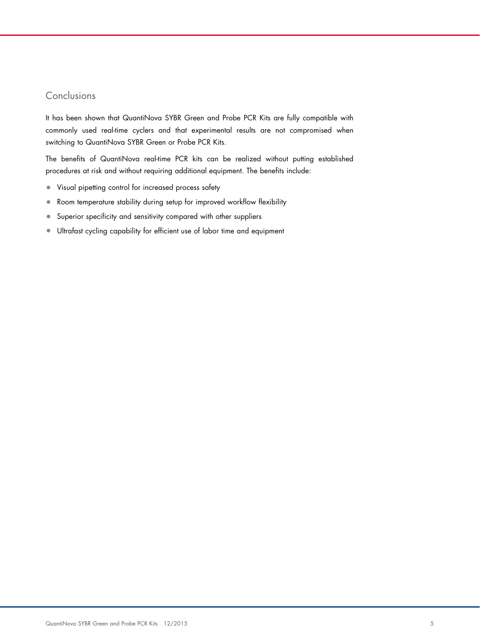## Conclusions

It has been shown that QuantiNova SYBR Green and Probe PCR Kits are fully compatible with commonly used real-time cyclers and that experimental results are not compromised when switching to QuantiNova SYBR Green or Probe PCR Kits.

The benefits of QuantiNova real-time PCR kits can be realized without putting established procedures at risk and without requiring additional equipment. The benefits include:

- Visual pipetting control for increased process safety
- Room temperature stability during setup for improved workflow flexibility
- Superior specificity and sensitivity compared with other suppliers
- Ultrafast cycling capability for efficient use of labor time and equipment